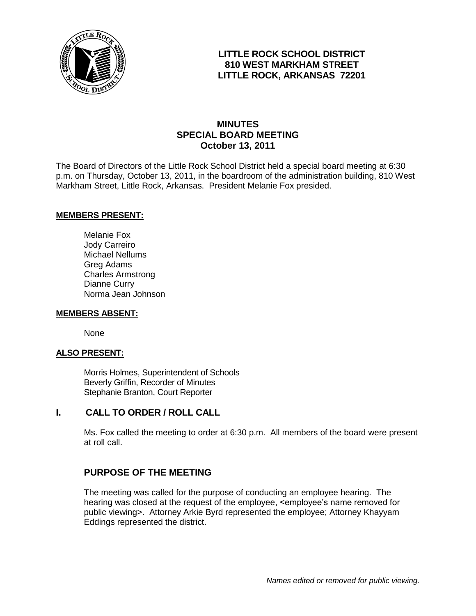

# **LITTLE ROCK SCHOOL DISTRICT 810 WEST MARKHAM STREET LITTLE ROCK, ARKANSAS 72201**

## **MINUTES SPECIAL BOARD MEETING October 13, 2011**

The Board of Directors of the Little Rock School District held a special board meeting at 6:30 p.m. on Thursday, October 13, 2011, in the boardroom of the administration building, 810 West Markham Street, Little Rock, Arkansas. President Melanie Fox presided.

### **MEMBERS PRESENT:**

Melanie Fox Jody Carreiro Michael Nellums Greg Adams Charles Armstrong Dianne Curry Norma Jean Johnson

#### **MEMBERS ABSENT:**

None

### **ALSO PRESENT:**

Morris Holmes, Superintendent of Schools Beverly Griffin, Recorder of Minutes Stephanie Branton, Court Reporter

### **I. CALL TO ORDER / ROLL CALL**

Ms. Fox called the meeting to order at 6:30 p.m. All members of the board were present at roll call.

## **PURPOSE OF THE MEETING**

The meeting was called for the purpose of conducting an employee hearing. The hearing was closed at the request of the employee, <employee's name removed for public viewing>. Attorney Arkie Byrd represented the employee; Attorney Khayyam Eddings represented the district.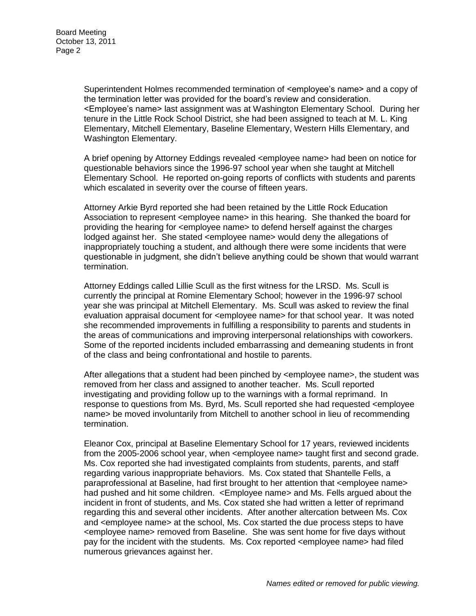Superintendent Holmes recommended termination of <employee's name> and a copy of the termination letter was provided for the board's review and consideration. <Employee's name> last assignment was at Washington Elementary School. During her tenure in the Little Rock School District, she had been assigned to teach at M. L. King Elementary, Mitchell Elementary, Baseline Elementary, Western Hills Elementary, and Washington Elementary.

A brief opening by Attorney Eddings revealed <employee name> had been on notice for questionable behaviors since the 1996-97 school year when she taught at Mitchell Elementary School. He reported on-going reports of conflicts with students and parents which escalated in severity over the course of fifteen years.

Attorney Arkie Byrd reported she had been retained by the Little Rock Education Association to represent <employee name> in this hearing. She thanked the board for providing the hearing for <employee name> to defend herself against the charges lodged against her. She stated <employee name> would deny the allegations of inappropriately touching a student, and although there were some incidents that were questionable in judgment, she didn't believe anything could be shown that would warrant termination.

Attorney Eddings called Lillie Scull as the first witness for the LRSD. Ms. Scull is currently the principal at Romine Elementary School; however in the 1996-97 school year she was principal at Mitchell Elementary. Ms. Scull was asked to review the final evaluation appraisal document for <employee name> for that school year. It was noted she recommended improvements in fulfilling a responsibility to parents and students in the areas of communications and improving interpersonal relationships with coworkers. Some of the reported incidents included embarrassing and demeaning students in front of the class and being confrontational and hostile to parents.

After allegations that a student had been pinched by <employee name>, the student was removed from her class and assigned to another teacher. Ms. Scull reported investigating and providing follow up to the warnings with a formal reprimand. In response to questions from Ms. Byrd, Ms. Scull reported she had requested <employee name> be moved involuntarily from Mitchell to another school in lieu of recommending termination.

Eleanor Cox, principal at Baseline Elementary School for 17 years, reviewed incidents from the 2005-2006 school year, when <employee name> taught first and second grade. Ms. Cox reported she had investigated complaints from students, parents, and staff regarding various inappropriate behaviors. Ms. Cox stated that Shantelle Fells, a paraprofessional at Baseline, had first brought to her attention that <employee name> had pushed and hit some children. <Employee name> and Ms. Fells argued about the incident in front of students, and Ms. Cox stated she had written a letter of reprimand regarding this and several other incidents. After another altercation between Ms. Cox and <employee name> at the school, Ms. Cox started the due process steps to have <employee name> removed from Baseline. She was sent home for five days without pay for the incident with the students. Ms. Cox reported <employee name> had filed numerous grievances against her.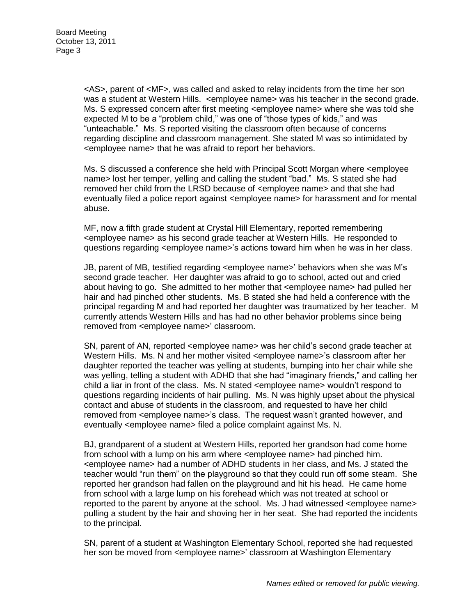<AS>, parent of <MF>, was called and asked to relay incidents from the time her son was a student at Western Hills. <employee name> was his teacher in the second grade. Ms. S expressed concern after first meeting <employee name> where she was told she expected M to be a "problem child," was one of "those types of kids," and was "unteachable." Ms. S reported visiting the classroom often because of concerns regarding discipline and classroom management. She stated M was so intimidated by <employee name> that he was afraid to report her behaviors.

Ms. S discussed a conference she held with Principal Scott Morgan where <employee name> lost her temper, yelling and calling the student "bad." Ms. S stated she had removed her child from the LRSD because of <employee name> and that she had eventually filed a police report against <employee name> for harassment and for mental abuse.

MF, now a fifth grade student at Crystal Hill Elementary, reported remembering <employee name> as his second grade teacher at Western Hills. He responded to questions regarding <employee name>'s actions toward him when he was in her class.

JB, parent of MB, testified regarding <employee name>' behaviors when she was M's second grade teacher. Her daughter was afraid to go to school, acted out and cried about having to go. She admitted to her mother that <employee name> had pulled her hair and had pinched other students. Ms. B stated she had held a conference with the principal regarding M and had reported her daughter was traumatized by her teacher. M currently attends Western Hills and has had no other behavior problems since being removed from <employee name>' classroom.

SN, parent of AN, reported <employee name> was her child's second grade teacher at Western Hills. Ms. N and her mother visited <employee name>'s classroom after her daughter reported the teacher was yelling at students, bumping into her chair while she was yelling, telling a student with ADHD that she had "imaginary friends," and calling her child a liar in front of the class. Ms. N stated <employee name> wouldn't respond to questions regarding incidents of hair pulling. Ms. N was highly upset about the physical contact and abuse of students in the classroom, and requested to have her child removed from <employee name>'s class. The request wasn't granted however, and eventually <employee name> filed a police complaint against Ms. N.

BJ, grandparent of a student at Western Hills, reported her grandson had come home from school with a lump on his arm where <employee name> had pinched him. <employee name> had a number of ADHD students in her class, and Ms. J stated the teacher would "run them" on the playground so that they could run off some steam. She reported her grandson had fallen on the playground and hit his head. He came home from school with a large lump on his forehead which was not treated at school or reported to the parent by anyone at the school. Ms. J had witnessed <employee name> pulling a student by the hair and shoving her in her seat. She had reported the incidents to the principal.

SN, parent of a student at Washington Elementary School, reported she had requested her son be moved from <employee name>' classroom at Washington Elementary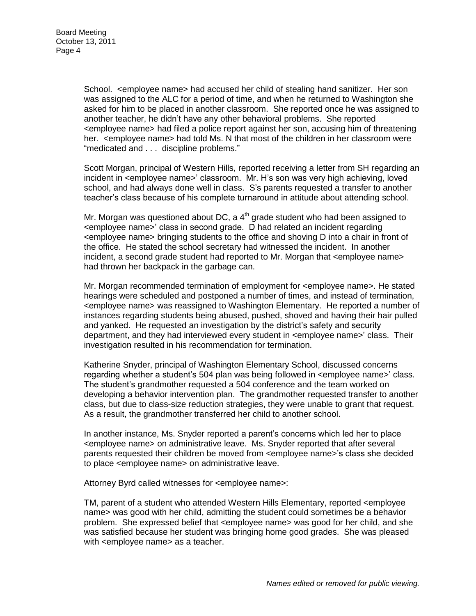School. <employee name> had accused her child of stealing hand sanitizer. Her son was assigned to the ALC for a period of time, and when he returned to Washington she asked for him to be placed in another classroom. She reported once he was assigned to another teacher, he didn't have any other behavioral problems. She reported <employee name> had filed a police report against her son, accusing him of threatening her. <employee name> had told Ms. N that most of the children in her classroom were "medicated and . . . discipline problems."

Scott Morgan, principal of Western Hills, reported receiving a letter from SH regarding an incident in <employee name>' classroom. Mr. H's son was very high achieving, loved school, and had always done well in class. S's parents requested a transfer to another teacher's class because of his complete turnaround in attitude about attending school.

Mr. Morgan was questioned about DC, a  $4<sup>th</sup>$  grade student who had been assigned to <employee name>' class in second grade. D had related an incident regarding <employee name> bringing students to the office and shoving D into a chair in front of the office. He stated the school secretary had witnessed the incident. In another incident, a second grade student had reported to Mr. Morgan that <employee name> had thrown her backpack in the garbage can.

Mr. Morgan recommended termination of employment for <employee name>. He stated hearings were scheduled and postponed a number of times, and instead of termination, <employee name> was reassigned to Washington Elementary. He reported a number of instances regarding students being abused, pushed, shoved and having their hair pulled and yanked. He requested an investigation by the district's safety and security department, and they had interviewed every student in <employee name>' class. Their investigation resulted in his recommendation for termination.

Katherine Snyder, principal of Washington Elementary School, discussed concerns regarding whether a student's 504 plan was being followed in <employee name>' class. The student's grandmother requested a 504 conference and the team worked on developing a behavior intervention plan. The grandmother requested transfer to another class, but due to class-size reduction strategies, they were unable to grant that request. As a result, the grandmother transferred her child to another school.

In another instance, Ms. Snyder reported a parent's concerns which led her to place <employee name> on administrative leave. Ms. Snyder reported that after several parents requested their children be moved from <employee name>'s class she decided to place <employee name> on administrative leave.

Attorney Byrd called witnesses for <employee name>:

TM, parent of a student who attended Western Hills Elementary, reported <employee name> was good with her child, admitting the student could sometimes be a behavior problem. She expressed belief that <employee name> was good for her child, and she was satisfied because her student was bringing home good grades. She was pleased with <employee name> as a teacher.